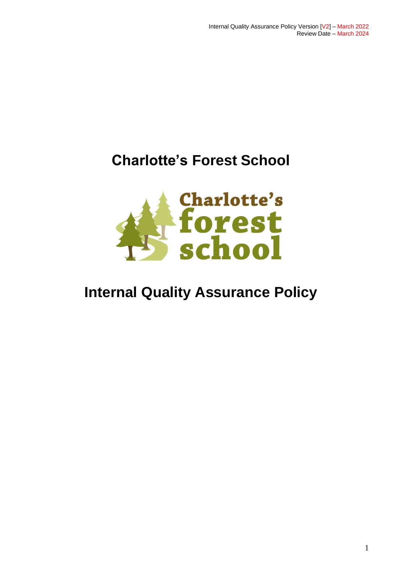# **Charlotte's Forest School**



# **Internal Quality Assurance Policy**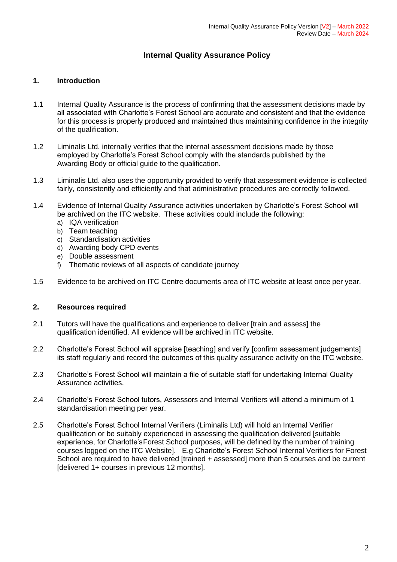### **Internal Quality Assurance Policy**

#### **1. Introduction**

- 1.1 Internal Quality Assurance is the process of confirming that the assessment decisions made by all associated with Charlotte's Forest School are accurate and consistent and that the evidence for this process is properly produced and maintained thus maintaining confidence in the integrity of the qualification.
- 1.2 Liminalis Ltd. internally verifies that the internal assessment decisions made by those employed by Charlotte's Forest School comply with the standards published by the Awarding Body or official guide to the qualification.
- 1.3 Liminalis Ltd. also uses the opportunity provided to verify that assessment evidence is collected fairly, consistently and efficiently and that administrative procedures are correctly followed.
- 1.4 Evidence of Internal Quality Assurance activities undertaken by Charlotte's Forest School will be archived on the ITC website. These activities could include the following:
	- a) IQA verification
	- b) Team teaching
	- c) Standardisation activities
	- d) Awarding body CPD events
	- e) Double assessment
	- f) Thematic reviews of all aspects of candidate journey
- 1.5 Evidence to be archived on ITC Centre documents area of ITC website at least once per year.

#### **2. Resources required**

- 2.1 Tutors will have the qualifications and experience to deliver [train and assess] the qualification identified. All evidence will be archived in ITC website.
- 2.2 Charlotte's Forest School will appraise [teaching] and verify [confirm assessment judgements] its staff regularly and record the outcomes of this quality assurance activity on the ITC website.
- 2.3 Charlotte's Forest School will maintain a file of suitable staff for undertaking Internal Quality Assurance activities.
- 2.4 Charlotte's Forest School tutors, Assessors and Internal Verifiers will attend a minimum of 1 standardisation meeting per year.
- 2.5 Charlotte's Forest School Internal Verifiers (Liminalis Ltd) will hold an Internal Verifier qualification or be suitably experienced in assessing the qualification delivered [suitable experience, for Charlotte's Forest School purposes, will be defined by the number of training courses logged on the ITC Website]. E.g Charlotte's Forest School Internal Verifiers for Forest School are required to have delivered [trained + assessed] more than 5 courses and be current [delivered 1+ courses in previous 12 months].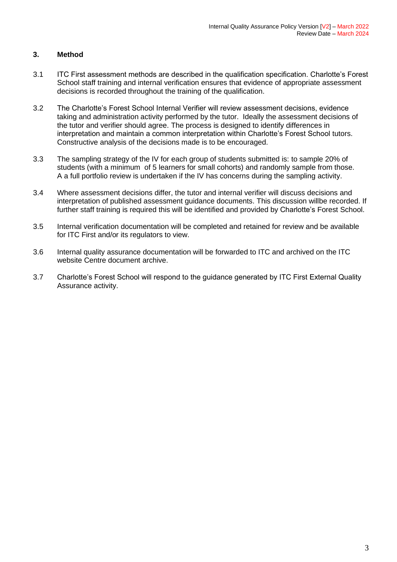### **3. Method**

- 3.1 ITC First assessment methods are described in the qualification specification. Charlotte's Forest School staff training and internal verification ensures that evidence of appropriate assessment decisions is recorded throughout the training of the qualification.
- 3.2 The Charlotte's Forest School Internal Verifier will review assessment decisions, evidence taking and administration activity performed by the tutor. Ideally the assessment decisions of the tutor and verifier should agree. The process is designed to identify differences in interpretation and maintain a common interpretation within Charlotte's Forest School tutors. Constructive analysis of the decisions made is to be encouraged.
- 3.3 The sampling strategy of the IV for each group of students submitted is: to sample 20% of students (with a minimum of 5 learners for small cohorts) and randomly sample from those. A a full portfolio review is undertaken if the IV has concerns during the sampling activity.
- 3.4 Where assessment decisions differ, the tutor and internal verifier will discuss decisions and interpretation of published assessment guidance documents. This discussion willbe recorded. If further staff training is required this will be identified and provided by Charlotte's Forest School.
- 3.5 Internal verification documentation will be completed and retained for review and be available for ITC First and/or its regulators to view.
- 3.6 Internal quality assurance documentation will be forwarded to ITC and archived on the ITC website Centre document archive.
- 3.7 Charlotte's Forest School will respond to the guidance generated by ITC First External Quality Assurance activity.